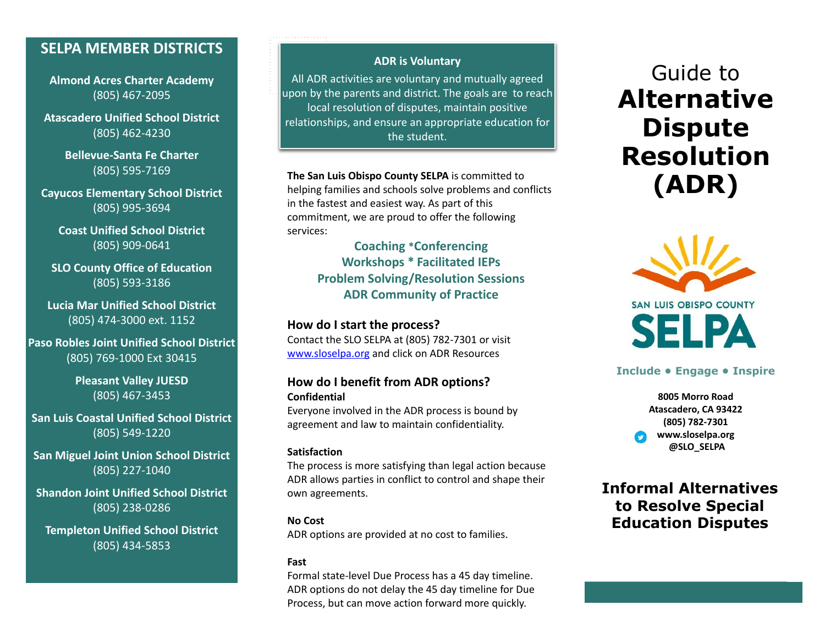## **SELPA MEMBER DISTRICTS**

**Almond Acres Charter Academy** mission (805) 467-2095

statement **Atascadero Unified School District** (805) 462-4230

> **Bellevue-Santa Fe Charter** (805) 595-7169

**Cayucos Elementary School District** (805) 995-3694

**Coast Unified School District** (805) 909-0641

**SLO County Office of Education** (805) 593-3186

**Lucia Mar Unified School District** (805) 474-3000 ext. 1152

**Paso Robles Joint Unified School District** (805) 769-1000 Ext 30415

> **Pleasant Valley JUESD** (805) 467-3453

**San Luis Coastal Unified School District** (805) 549-1220

**San Miguel Joint Union School District** (805) 227-1040

**Shandon Joint Unified School District** (805) 238-0286

**Templeton Unified School District** (805) 434-5853

### **ADR is Voluntary**

PLACE stamped<br>Starter All ADR activities are voluntary and mutually agreed upon by the parents and district. The goals are to reach local resolution of disputes, maintain positive relationships, and ensure an appropriate education for the student.

**The San Luis Obispo County SELPA** is committed to helping families and schools solve problems and conflicts in the fastest and easiest way. As part of this commitment, we are proud to offer the following services:

**Coaching \*Conferencing Workshops \* Facilitated IEPs Problem Solving/Resolution Sessions ADR Community of Practice**

### **How do I start the process?**

Contact the SLO SELPA at (805) 782-7301 or visit [www.sloselpa.org](http://www.sloselpa.org) and click on ADR Resources

### **How do I benefit from ADR options? Confidential**

Everyone involved in the ADR process is bound by agreement and law to maintain confidentiality.

#### **Satisfaction**

The process is more satisfying than legal action because ADR allows parties in conflict to control and shape their own agreements.

### **No Cost**

ADR options are provided at no cost to families.

#### **Fast**

Formal state-level Due Process has a 45 day timeline. ADR options do not delay the 45 day timeline for Due Process, but can move action forward more quickly.

# Guide to **Alternative Dispute Resolution (ADR)**



### **Include • Engage • Inspire**

**8005 Morro Road Atascadero, CA 93422 (805) 782-7301 www.sloselpa.org @SLO\_SELPA**

### **Informal Alternatives to Resolve Special Education Disputes**